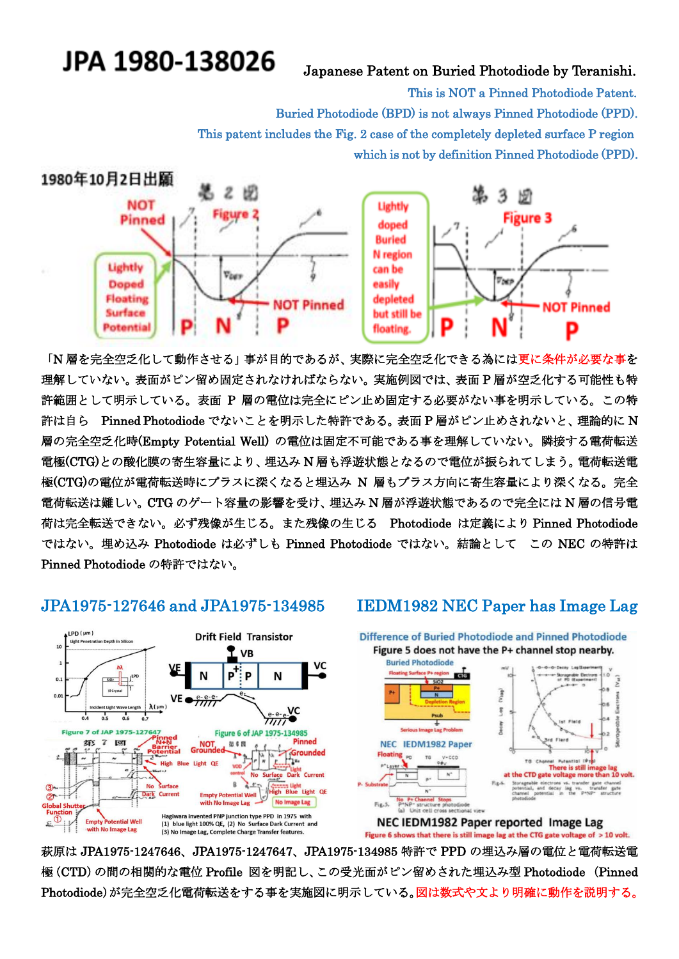# JPA 1980-138026

### Japanese Patent on Buried Photodiode by Teranishi.

This is NOT a Pinned Photodiode Patent.

Buried Photodiode (BPD) is not always Pinned Photodiode (PPD).

This patent includes the Fig. 2 case of the completely depleted surface P region

which is not by definition Pinned Photodiode (PPD).



「N 層を完全空乏化して動作させる」事が目的であるが、実際に完全空乏化できる為には更に条件が必要な事を 理解していない。表面がピン留め固定されなければならない。実施例図では、表面 P 層が空乏化する可能性も特 許範囲として明示している。表面 P 層の電位は完全にピン止め固定する必要がない事を明示している。この特 許は自ら Pinned Photodiode でないことを明示した特許である。表面 P 層がピン止めされないと、理論的に N 層の完全空乏化時(Empty Potential Well) の電位は固定不可能である事を理解していない。隣接する電荷転送 電極(CTG)との酸化膜の寄生容量により、埋込み N 層も浮遊状態となるので電位が振られてしまう。電荷転送電 極(CTG)の電位が電荷転送時にプラスに深くなると埋込み N 層もプラス方向に寄生容量により深くなる。完全 電荷転送は難しい。CTG のゲート容量の影響を受け、埋込み N 層が浮遊状態であるので完全には N 層の信号電 荷は完全転送できない。必ず残像が生じる。また残像の生じる Photodiode は定義により Pinned Photodiode ではない。埋め込み Photodiode は必ずしも Pinned Photodiode ではない。結論として この NEC の特許は Pinned Photodiode の特許ではない。





萩原は JPA1975-1247646、JPA1975-1247647、JPA1975-134985 特許で PPD の埋込み層の電位と電荷転送電 極(CTD)の間の相関的な電位 Profile 図を明記し、この受光面がピン留めされた埋込み型 Photodiode (Pinned Photodiode)が完全空乏化電荷転送をする事を実施図に明示している。図は数式や文より明確に動作を説明する。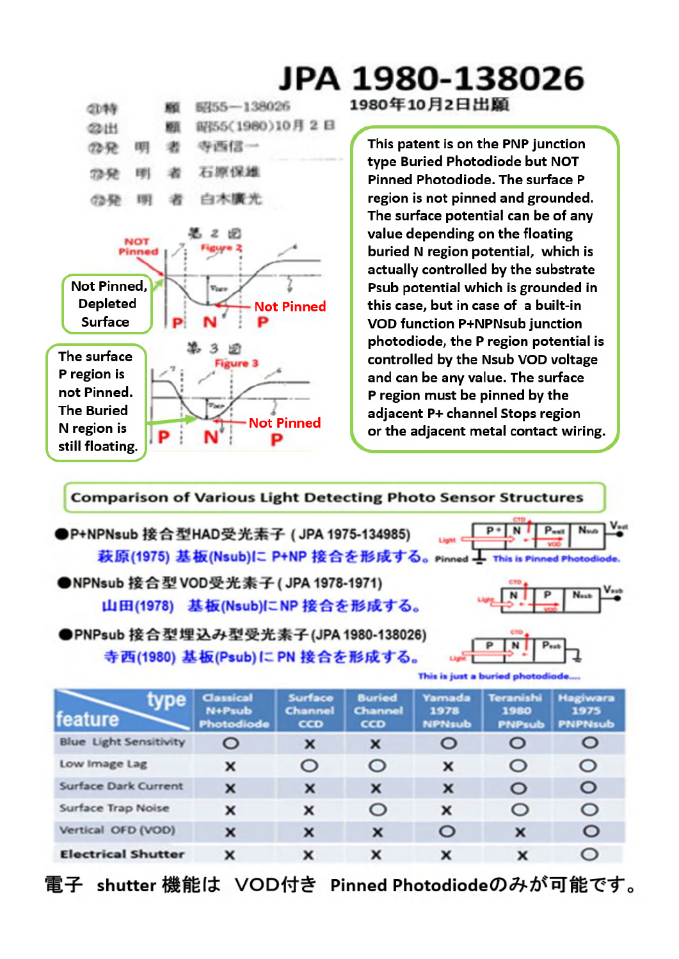

Vertical OFD (VOD)

**Electrical Shutter** 

 $\overline{\mathbf{x}}$ 

 $\mathbf{x}$ 

## JPA 1980-138026 1980年10月2日出願

This patent is on the PNP junction type Buried Photodiode but NOT Pinned Photodiode. The surface P region is not pinned and grounded. The surface potential can be of any value depending on the floating buried N region potential, which is actually controlled by the substrate Psub potential which is grounded in this case, but in case of a built-in **VOD function P+NPNsub junction** photodiode, the P region potential is controlled by the Nsub VOD voltage and can be any value. The surface P region must be pinned by the adjacent P+ channel Stops region or the adjacent metal contact wiring.

**Comparison of Various Light Detecting Photo Sensor Structures**  $P*|N|$  $P<sub>well</sub>$ Nuo ●P+NPNsub 接合型HAD受光素子 (JPA 1975-134985) 萩原(1975) 基板(Nsub)に P+NP 接合を形成する。 Pinned コ This is Pinned Photodiode ●NPNsub 接合型 VOD受光素子 (JPA 1978-1971) 山田(1978) 基板(Nsub)にNP 接合を形成する。 ●PNPsub 接合型埋込み型受光素子(JPA 1980-138026)  $\overline{\mathbf{N}}$ P p 寺西(1980) 基板(Psub)にPN 接合を形成する。 This is just a buried photodi Yamada **Buried** Hagiwara Surface Teranishi Classical type Channel N+Psub Channel 1978 1980 1975 feature cco cco Photodiode **NPNsub** PNPsub PNPNsub **Blue** Light Sensitivity  $\circ$  $\circ$  $\boldsymbol{\mathsf{x}}$  $\mathbf{x}$  $\circ$  $\circ$ Low Image Lag  $\circ$  $\circ$  $\circ$  $\circ$ × x **Surface Dark Current**  $\circ$  $\mathbf{x}$  $\mathbf{x}$  $\circ$  $\mathbf x$  $\mathbf{x}$ Surface Trap Noise  $\circ$  $\circ$  $\circ$  $\mathbf x$ x  $\mathbf{x}$ 

電子 shutter 機能は VOD付き Pinned Photodiodeのみが可能です。

 $\overline{\mathbf{x}}$ 

 $\mathbf{x}$ 

 $\mathbf x$ 

 $\mathbf{x}$ 

 $\circ$ 

x

 $\circ$ 

 $\circ$ 

 $\mathbf{x}$ 

 $\overline{\mathbf{x}}$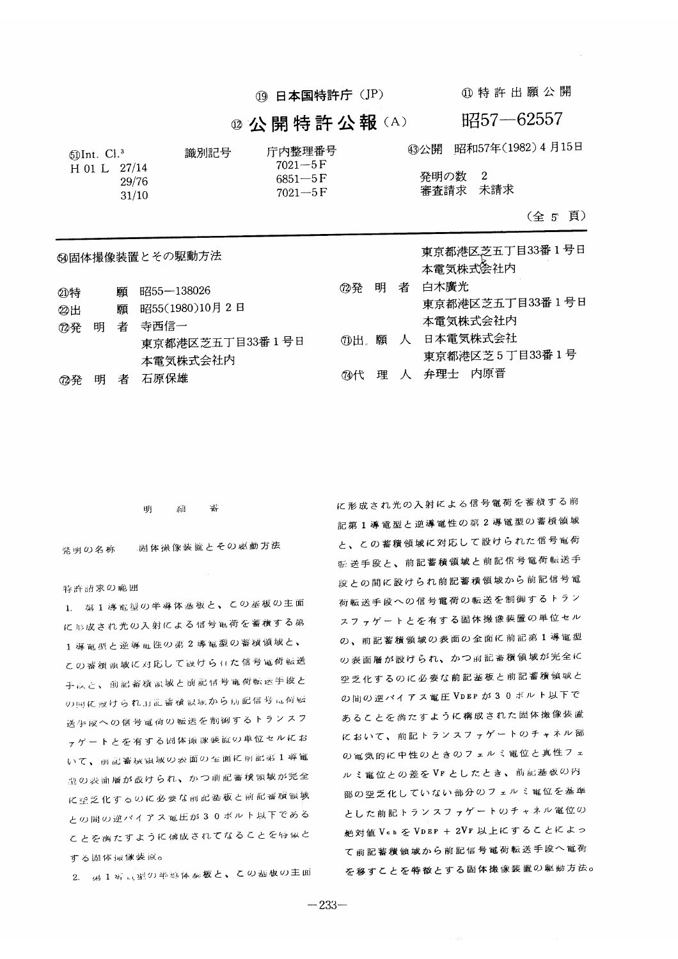19 日本国特許庁 (JP)

4 特許出願公開

### @ 公開特許公報(A)

昭57-62557

東京都港区芝五丁目33番1号日

43公開 昭和57年(1982) 4月15日

 $6DInt.$   $Cl.^3$ 識別記号 H 01 L  $27/14$ 29/76  $31/10$ 

庁内整理番号  $7021 - 5F$  $6851 - 5F$  $7021 - 5F$ 

発明の数 2 審査請求 未請求

#### (全5頁)

|      |   | <b>@固体撮像装置とその駆動方法</b> |            |   |
|------|---|-----------------------|------------|---|
| ②特   | 願 | 昭55―138026            | <i>①</i> 発 | 明 |
| 22 H | 願 | 昭55(1980)10月2日        |            |   |

|  | ⑦発の明の者の寺西信一     |
|--|-----------------|
|  | 東京都港区芝五丁目33番1号日 |
|  | 本電気株式会社内        |
|  | ⑦発の明の者の石原保雄     |

- 本雷気株式会社内 白木廣光 者 東京都港区芝五丁目33番1号日 本雷気株式会社内 70出 願 人 日本電気株式会社 東京都港区芝5丁目33番1号
- 4代 理 人 弁理士 内原晋

明  $\chi, \mathrm{H}$ 彞

周体撮像装置とその感動方法 発明の名称

#### 特許請求の範囲

⑦発

明

者

1. 第1導電型の半導体基板と、この基板の主面 に形成され光の入射による信号観荷を蓄積する弟 1導電型と逆導電性の弟2導電型の蓄積領域と、 この審戦領域に対応して設けられた信号電荷転送 手以と、前記蓄積誤域と前記信号電荷転送手段と の国に設けられ、訂記審検視域から初記信号高荷転 送手段への信号電荷の転送を制御するトランスフ ァゲートとを有する固体诚保装置の単位セルにお いて、前記蓄視領域の表面の金面に前記第1導電 豊の表面層が設けられ、かつ前記蓄積領域が完全 に空乏化するのに必要な前記基板と前記番板領域 との間の逆バイアス電圧が30ポルト以下である ことを噛たすように構成されてなることを特似と する固体最像装置o

2. 男1等同型の半導体塞板と、この基板の主面

に形成され光の入射による信号電荷を蓄積する前 記第1導電型と逆導電性の第2導電型の蓄積領域 と、この蓄積領域に対応して設けられた信号電荷 転送手段と、前記蓄積領域と前記信号電荷転送手 段との間に設けられ前記蓄積領域から前記信号電 荷転送手段への信号電荷の転送を制御するトラン スファゲートとを有する固体撮像装置の単位セル の、前記蓄積領域の表面の全面に前記第1導電型 の表面層が設けられ、かつ前記蓄積領域が完全に 空乏化するのに必要な前記基板と前記蓄積領域と の間の逆パイアス電圧VDEP が30ポルト以下で あることを満たすように構成された固体撮像装置 において、前記トランスファゲートのチャネル部 の電気的に中性のときのフェルミ電位と真性フェ ルミ電位との差をVrとしたとき、前記基板の内 部の空乏化していない部分のフェルミ電位を基準 とした前記トランスファゲートのチャネル電位の 絶対値 Vch を VDEP + 2VF 以上にすることによっ て前記蓄積領域から前記信号電荷転送手段へ電荷 を移すことを特徴とする固体撮像装置の駆動方法。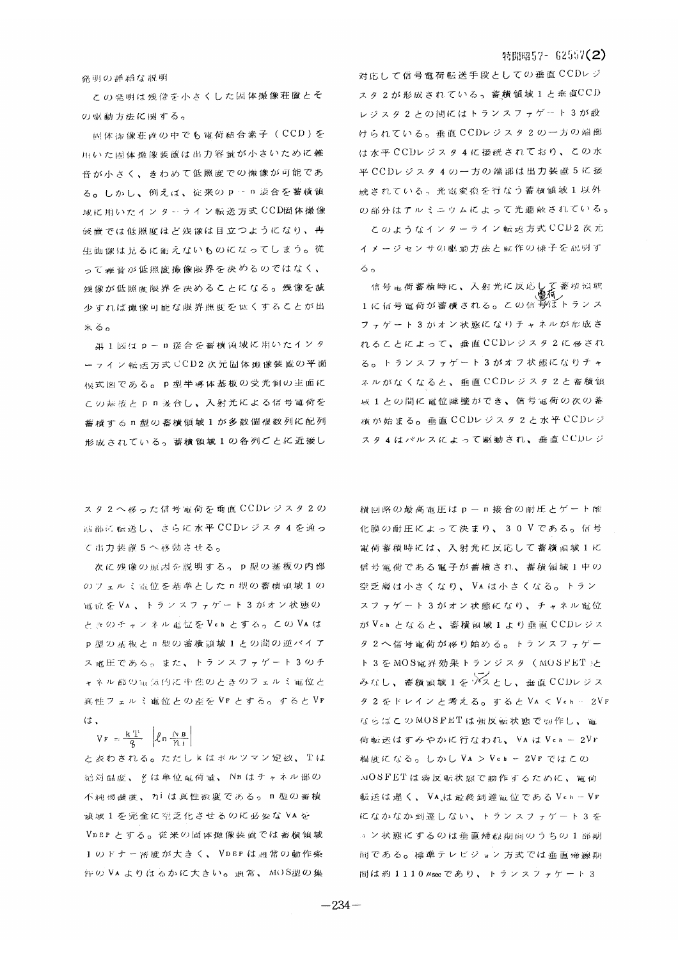#### 特開昭57- 62557(2)

発明の詳細な説明

この発明は残像を小さくした固体撮像荘置とそ の驱動方法に関する。

固体海像荘直の中でも電荷結合素子 (CCD)を 用いた固体撮像装置は出力容量が小さいために雑 音が小さく、きわめて低照度での撮像が可能であ る。しかし、例えば、従来のp·n 談合を蓄積領 域に用いたインターライン転送方式 CCD固体撮像 **装置では低照度はど残像は目立つようになり、再** 生画像は見るに耐えないものになってしまう。従 って难音が低照度撮像限界を决めるのではなく、 残像が低照度限界を決めることになる。残像を減 少すれば殲像可能な限界照度をはくすることが出 米る。

第1図はp-n接合を審横領域に用いたインタ ーライン転送万式 CCD2次元固体最像装置の平面 桓式図である。p型半導体基板の受光側の主面に この基版とpn 接合し、入射光による信号電荷を 蓄 橋 す る n 型 の 蓄 横 領 域 1 が 多 数 個 複 数 列 に 配 列 形成されている。蓄積領域1の各列ごとに近接し

スタ2へ移った信号雷荷を垂直CCDレジスタ2の 端部に転送し、さらに水平CCDレジスタ4を通っ て出力装置5へ移動させる。

次に残像の原因を説明する。p型の基板の内部 のフェルミ電位を基準とした n 型の蓄積領域1の 電立をVA、トランスファゲート3がオン状態の ときのチャンネル電位をVchとする。このVAは p型の基板と n 型の蓄積領域1との間の逆バイア ス電圧である。また、トランスファゲート3のチ ャネル郡の面気的に中性のときのフェルミ電位と 真性フェルミ電位との差をVFとする。するとVF は、

## $V_F = \frac{kT}{g}$   $\left| \ln \frac{N B}{n i} \right|$

と表わされる。ただしkはポルツマン定数、Tは 記対温度、そは単位電荷量、NBはチャネル部の 不純物濃度、カiは真性澱度である。n型の蓄積 演域1を完全に空乏化させるのに必要なVAを VDEPとする。従来の固体強像装置では蓄積領域 1のドナー密度が大きく、VDEPは通常の動作条 件のVAよりはるかに大きい。通常、MOS型の集

対応して信号電荷転送手段としての垂直CCDレジ ス タ 2 が 形 成 さ れ て い る 。 蓄 積 領 域 1 と 垂 直CCD レジスタ2との間にはトランスファゲート3が設 けられている。垂直CCDレジスタ2の一方の端部 は水平 CCDレジスタ 4 に接続されており、この水 平CCDレジスタ4の一方の端部は出力装置5に接 続されている。光電変換を行なう蓄積領域1以外 の部分はアルミニウムによって光遮蔽されている。

このようなインターライン転送方式 CCD2 次元 イメージセンサの駆動方法と転作の様子を説明す  $\ddot{\delta}$  o

1に信号電荷が蓄積される。この信号はトランス フェゲート3がオン状態になりチャネルが形成さ れることによって、垂直CCDレジスタ2にほされ る。トランスファゲート3がオフ状態になりチャ ネルがなくなると、垂直CCDレジスタ2と蓄積領 域1との間に電位障壁ができ、信号電荷の次の蓄 積が始まる。垂直 CCDレジスタ2と水平 CCDレジ スタ4はパルスによって駆動され、垂直CCDレジ

積回路の最高電圧はp-n接合の耐圧とゲート酸 化膜の耐圧によって決まり、30Vである。信号 電荷蓄積時には、入射光に反応して蓄積領域1に 信号電荷である電子が蓄積され、蓄積領域1中の 空乏膚は小さくなり、VAは小さくなる。トラン スファゲート3がオン状態になり、チャネル電位 がVchとなると、蓄積領域1より垂直CCDレジス タ2へ信号電荷が格り始める。トランスファゲー ト3をMOS電界効果トランジスタ (MOSFET)と みなし、薔薇宛城1をソスとし、垂直 CCDレジス タ2をドレインと考える。すると VA く Vch … 2VF ならばこのMOSFETは強反転状態で動作し、電 何転送はすみやかに行なわれ、 VA は Vch - 2VF 程度になる。しかしVA > Vch - 2VF ではこの MOSFETは弱反転状態で動作するために、電荷 転送は遅く、VAは最終到達電位であるVch-VF になかなか到達しない、トランスファゲート3を 』ン状態にするのは垂直帰線期間のうちの1部期 間である。標準テレビジョン方式では垂直帰線期 間は約1110 Asec であり、トランスファゲート3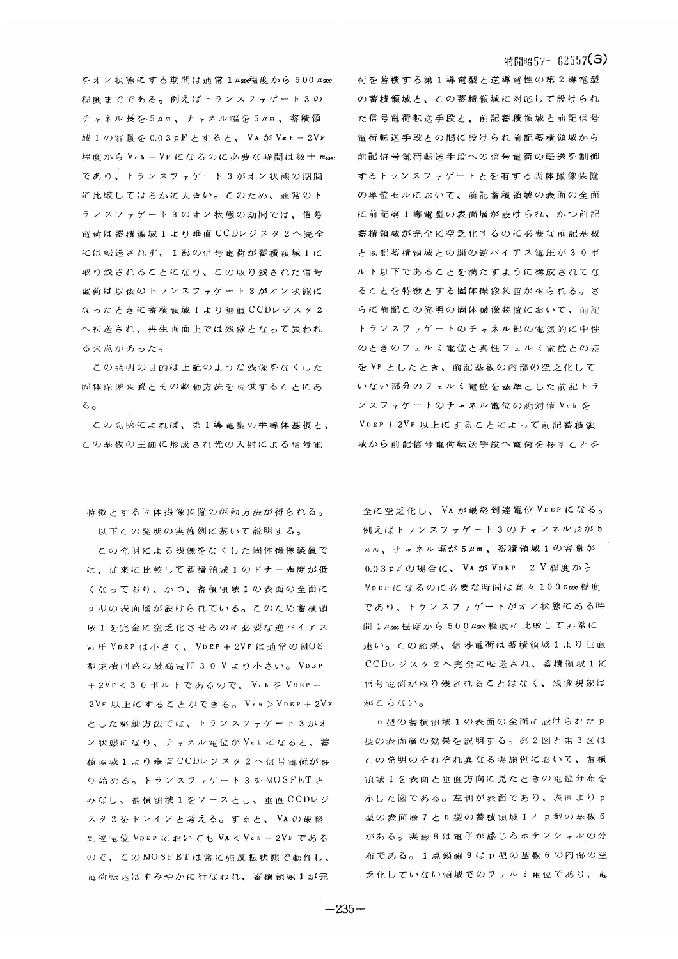をオン状態にする期間は通常 1μsen程度から 500μsec 程度までである。例えばトランスファゲート3の チャネル長を5μm、チャネル幅を5μm、蓄積領 域1の容量を0.03pFとすると、VAがVeh-2VF 程度からVch-VFになるのに必要な時間は数十msec であり、トランスファゲート3がオン状態の期間 に比較してはるかに大きい。このため、通常のト ランスファゲート3のオン状態の期間では、信号 電荷は蓄積領域1より垂直 CCDレジスタ2へ完全 には転送されず、1部の信号電荷が蓄積領域1に 取り残されることになり、この取り残された信号 電荷は以後のトランスファゲート3がオン状態に なったときに蓄積傾域1より垂直CCDレジスタ2 へ転送され、再生画面上では残像となって表われ る欠点があった。

この発明の目的は上記のような残像をなくした 固体症像装置とその駆動方法を提供することにあ  $\delta$ 

この発明によれば、弟1導電型の半導体基板と、 この基板の主面に形成され光の入射による信号電

特徴とする固体撮像装置の認動方法が得られる。 以下この発明の実施例に基いて説明する。

この発明による浅像をなくした固体撮像装置で は、従来に比較して蓄積領域1のドナー機度が低 くなっており、かつ、蓄積領域1の表面の全面に p型の表面層が設けられている。このため蓄積領 城1を完全に空乏化させるのに必要な逆バイアス mH VDEP は小さく、VDEP + 2VF は通常のMOS 型集積画路の最高電圧30Vより小さい。VDEP +2VF < 30ボルトであるので、 V ch を VDEP + 2VF 以上にすることができる。Vch >VDEP + 2VF とした駆動方法では、トランスファゲート3かオ ン状態になり、チャネル電位がVehになると、蓄 積頭域1より垂直CCDレジスタ2へ信号電荷が移 り始める。トランスファゲート3をMOSFETと みなし、畜積領域1をソースとし、垂直CCDレジ スタ2をドレインと考える。すると、VAの厳終 到達電位 VDEP においても VA < Vch - 2VF である ので、このMOSFETは常に強反転状態で動作し、 電荷転送はすみやかに行なわれ、蓄積損域1が完

#### 特開昭57- 62557(3)

荷を蓄積する第1導電型と逆導電性の第2導電型 の蓄積領域と、この蓄積領域に対応して設けられ た信号電荷転送手段と、前記蓄積領域と前記信号 電荷転送手段との間に設けられ前記蓄積領域から 前記信号電荷転送手段への信号電荷の転送を制御 するトランスファゲートとを有する固体撮像装置 の単位セルにおいて、前記蓄積領域の表面の全面 に前記第1導電型の表面層が設けられ、かつ前記 蓄積領域が完全に空乏化するのに必要な前記基板 と 前記蓄積領域との間の逆バイアス電圧が30ボ ルト以下であることを満たすように構成されてな ることを特徴とする固体撮像装置が得られる。さ らに前記この発明の固体撮像装置において、前記 トランスファゲートのチャネル部の電気的に中性 のときのフェルミ電位と真性フェルミ電位との差 をVFとしたとき、前記基板の内部の空乏化して いない部分のフェルミ電位を基準とした前記トラ ンスファゲートのチャネル電位の絶対値Vchを VDEP+2VF 以上にすることによって前記蓄積領 域から前記信号電荷転送手段へ電荷を移すことを

全に空乏化し、VA が最終到達電位VDEPになる。 例えばトランスファゲート3のチャンネル最が5 μm、チャネル幅が5μm、蓄積領域1の容量が 0.03pFの場合に、VAがVDEP-2V程度から VDEPになるのに必要な時間は高々100nsec程度 であり、トランスファゲートがオン状態にある時 間 1 µsec 程度から500 µsec 程度に比較して非常に **速い。この結果、信号電荷は蓄積領域1より垂直** CCDレジスタ2へ完全に転送され、蓄積領域1に 信号電荷が取り残されることはなく、残像現象は 起こらない。

n 型の蓄積領域1の表面の全面に設けられたp 型の表面層の効果を説明する。第2図と弟3図は この発明のそれぞれ異なる実施例において、蓄横 演域1を表面と垂直方向に見たときの電位分布を 示した図である。左側が表面であり、表曲よりp 型の表面層7とn型の蓄積領域1とp型の基板6 がある。実験8は電子が感じるボテンシャルの分 布である。1点鎖線9はp型の基板6の内部の空 乏化していない領域でのフェルミ電位であり、電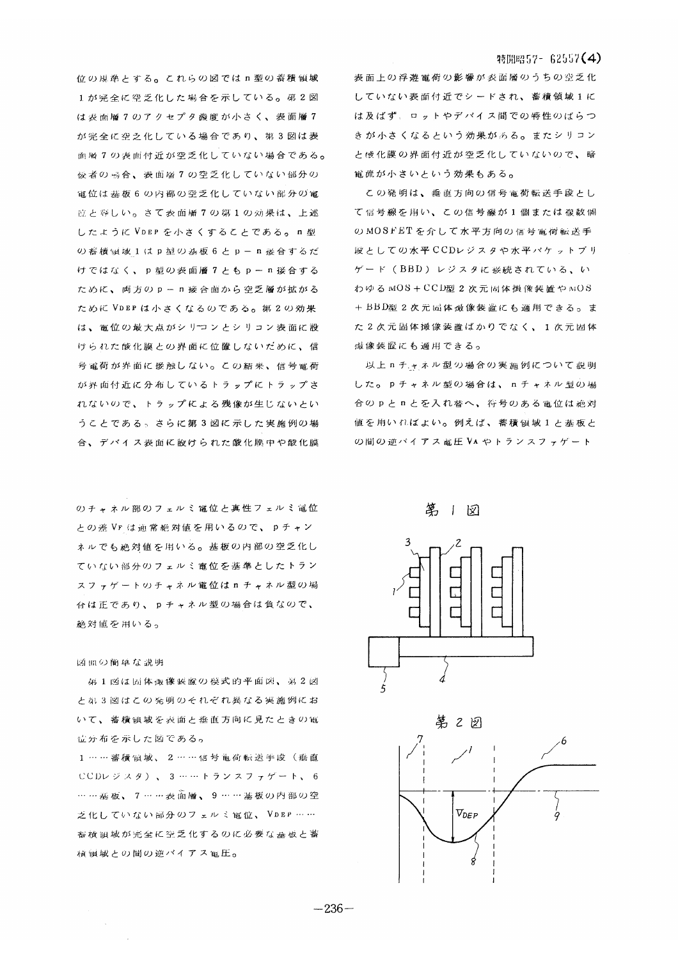#### 特開昭57- 62557(4)

位の規準とする。これらの図ではn型の蓄積領域 1が完全に空乏化した場合を示している。第2図 は表面層7のアクセプタ機度が小さく、表面層7 が完全に空乏化している場合であり、第3図は表 面層7の表面付近が空乏化していない場合である。 **佞者の 場合、表面層7の空乏化していない部分の** 電位は基板6の内部の空乏化していない部分の電 应と等しい。さて表面層7の第1の効果は、上述 したように VDEP を小さくすることである。n型 の蓄横領域1はp型の基板6とp-n接合するだ けではなく、p型の表面層7ともp-n接合する ために、両方のp-n接合面から空乏層が拡がる ために VDEP は小さくなるのである。第2の効果 は、電位の最大点がシリコンとシリコン表面に設 けられた酸化膜との界面に位置しないだめに、信 号電荷が界面に接触しない。この結果、信号電荷 が界面付近に分布しているトラップにトラップさ れないので、トラップによる残像が生じないとい うことである。さらに第3図に示した実施例の場 合、デバイス表面に設けられた酸化膜中や酸化膜

のチャネル部のフェルミ電位と真性フェルミ電位 との差 Vr は通常絶対値を用いるので、pチャン ネルでも絶対値を用いる。基板の内部の空乏化し ていない部分のフェルミ電位を基準としたトラン スファゲートのチャネル電位はロチャネル型の場 台は正であり、pチャネル型の場合は負なので、 絶対値を用いる。

#### 図面の簡単な説明

第1図は固体预像装置の模式的平面図、第2図 と弟3図はこの発明のそれぞれ異なる実施例にお いて、蓄積領域を表面と垂直方向に見たときの電 位分布を示した図である。

1……蓄積領域、2……信号亀荷転送手段(垂直 CCDレジスタ)、3 ……トランスファゲート、6 …… 基板、7……表面層、9…… 基板の内部の空 乏化していない部分のフェルミ電位、VDEP…… 審検領域が完全に空乏化するのに必要な基板と蓄 槓铜域との間の逆バイアス電圧。

表面上の浮遊電荷の影響が表面層のうちの空乏化 していない表面付近でシードされ、蓄積領域1に は及ばず、ロットやデバイス間での特性のばらつ きが小さくなるという効果がある。またシリコン と酸化膜の界面付近が空乏化していないので、暗 電流が小さいという効果もある。

この発明は、垂直方向の信号電荷転送手段とし て信号線を用い、この信号線が1個または複数個 のMOSFETを介して水平方向の信号電荷転送手 段としての水平CCDレジスタや水平バケットブリ ゲード (BBD) レジスタに接続されている、い わゆる MOS+CCD型2次元固体损像装置やMOS +BBD型2次元同体最像装置にも適用できる。ま た2次元固体撮像装置ばかりでなく、1次元固体 熾像装置にも適用できる。

以上nチャネル型の場合の実施例について説明 した。pチャネル型の場合は、nチャネル型の場 合のpとnとを入れ替へ、符号のある電位は絶対 値を用いればよい。例えば、蓄積領域1と基板と の間の逆バイアス電圧VAやトランスファゲート

第1図